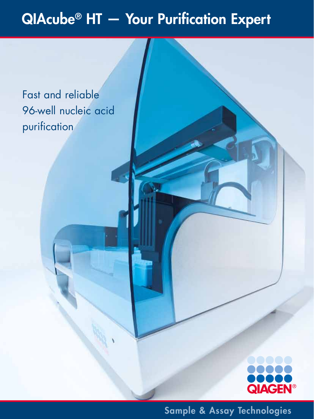# QIAcube® HT — Your Purification Expert

Fast and reliable 96-well nucleic acid purification



Sample & Assay Technologies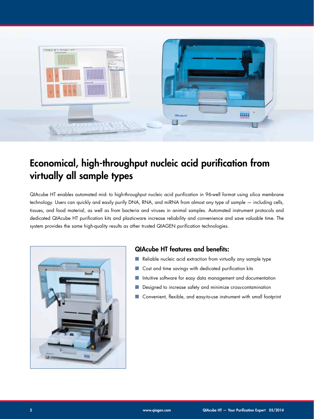

# Economical, high-throughput nucleic acid purification from virtually all sample types

QIAcube HT enables automated mid- to high-throughput nucleic acid purification in 96-well format using silica membrane technology. Users can quickly and easily purify DNA, RNA, and miRNA from almost any type of sample — including cells, tissues, and food material, as well as from bacteria and viruses in animal samples. Automated instrument protocols and dedicated QIAcube HT purification kits and plasticware increase reliability and convenience and save valuable time. The system provides the same high-quality results as other trusted QIAGEN purification technologies.



### QIAcube HT features and benefits:

- Reliable nucleic acid extraction from virtually any sample type
- Cost and time savings with dedicated purification kits
- Intuitive software for easy data management and documentation
- Designed to increase safety and minimize cross-contamination
- Convenient, flexible, and easy-to-use instrument with small footprint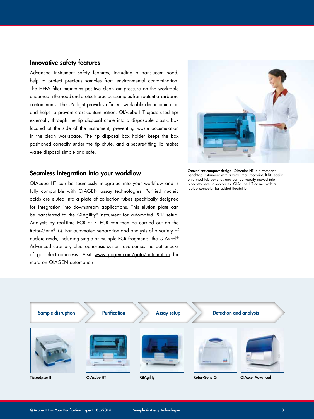#### Innovative safety features

Advanced instrument safety features, including a translucent hood, help to protect precious samples from environmental contamination. The HEPA filter maintains positive clean air pressure on the worktable underneath the hood and protects precious samples from potential airborne contaminants. The UV light provides efficient worktable decontamination and helps to prevent cross-contamination. QIAcube HT ejects used tips externally through the tip disposal chute into a disposable plastic box located at the side of the instrument, preventing waste accumulation in the clean workspace. The tip disposal box holder keeps the box positioned correctly under the tip chute, and a secure-fitting lid makes waste disposal simple and safe.

#### Seamless integration into your workflow

QIAcube HT can be seamlessly integrated into your workflow and is fully compatible with QIAGEN assay technologies. Purified nucleic acids are eluted into a plate of collection tubes specifically designed for integration into downstream applications. This elution plate can be transferred to the QIAgility® instrument for automated PCR setup. Analysis by real-time PCR or RT-PCR can then be carried out on the Rotor-Gene® Q. For automated separation and analysis of a variety of nucleic acids, including single or multiple PCR fragments, the QIAxcel® Advanced capillary electrophoresis system overcomes the bottlenecks of gel electrophoresis. Visit www.qiagen.com/goto/automation for more on QIAGEN automation.



Convenient compact design. QIAcube HT is a compact, benchtop instrument with a very small footprint. It fits easily onto most lab benches and can be readily moved into biosafety level laboratories. QIAcube HT comes with a laptop computer for added flexibility.

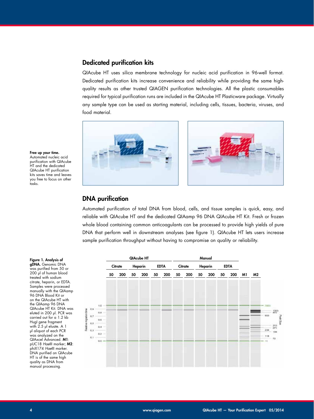#### Dedicated purification kits

QIAcube HT uses silica membrane technology for nucleic acid purification in 96-well format. Dedicated purification kits increase convenience and reliability while providing the same highquality results as other trusted QIAGEN purification technologies. All the plastic consumables required for typical purification runs are included in the QIAcube HT Plasticware package. Virtually any sample type can be used as starting material, including cells, tissues, bacteria, viruses, and food material.



#### Free up your time. Automated nucleic acid

purification with QIAcube HT and the dedicated QIAcube HT purification kits saves time and leaves you free to focus on other tasks.

#### DNA purification

Automated purification of total DNA from blood, cells, and tissue samples is quick, easy, and reliable with QIAcube HT and the dedicated QIAamp 96 DNA QIAcube HT Kit. Fresh or frozen whole blood containing common anticoagulants can be processed to provide high yields of pure DNA that perform well in downstream analyses (see figure 1). QIAcube HT lets users increase sample purification throughput without having to compromise on quality or reliability.



#### was purified from 50 or 200 µl of human blood treated with sodium citrate, heparin, or EDTA. Samples were processed manually with the QIAamp

Figure 1. Analysis of gDNA. Genomic DNA

96 DNA Blood Kit or on the QIAcube HT with the QIAamp 96 DNA QIAcube HT Kit. DNA was eluted in 200 µl. PCR was carried out for a 1.2 kb HugI gene fragment with 2.5 µl eluate. A 1 µl aliquot of each PCR was analyzed on the QIAxcel Advanced. M1: pUC18 *Hae*III marker; M2: phiX174 *Hae*III marker. DNA purified on QIAcube HT is of the same high quality as DNA from manual processing.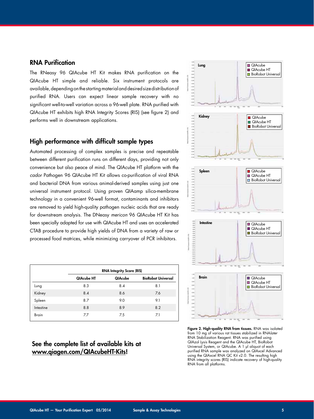#### RNA Purification

The RNeasy 96 QIAcube HT Kit makes RNA purification on the QIAcube HT simple and reliable. Six instrument protocols are available, depending on the starting material and desired size distribution of purified RNA. Users can expect linear sample recovery with no significant well-to-well variation across a 96-well plate. RNA purified with QIAcube HT exhibits high RNA Integrity Scores (RIS) (see figure 2) and performs well in downstream applications.

#### High performance with difficult sample types

Automated processing of complex samples is precise and repeatable between different purification runs on different days, providing not only convenience but also peace of mind. The QIAcube HT platform with the *cador* Pathogen 96 QIAcube HT Kit allows co-purification of viral RNA and bacterial DNA from various animal-derived samples using just one universal instrument protocol. Using proven QIAamp silica-membrane technology in a convenient 96-well format, contaminants and inhibitors are removed to yield high-quality pathogen nucleic acids that are ready for downstream analysis. The DNeasy *mericon* 96 QIAcube HT Kit has been specially adapted for use with QIAcube HT and uses an accelerated QIAcube Kidney Intestine QIAcube CTAB procedure to provide high yields of DNA from a variety of raw or processed food matrices, while minimizing carryover of PCR inhibitors. Biography Or  $\overline{L}$ 

|              | <b>RNA Integrity Score (RIS)</b> |         |                           |
|--------------|----------------------------------|---------|---------------------------|
|              | QIAcube HT                       | QIAcube | <b>BioRobot Universal</b> |
| Lung         | 8.3                              | 8.4     | 8.1                       |
| Kidney       | 8.4                              | 8.6     | 7.6                       |
| Spleen       | 8.7                              | 9.0     | 9.1                       |
| Intestine    | 8.8                              | 8.9     | 8.2                       |
| <b>Brain</b> | 7.7                              | 7.5     | 7.1                       |

### See the complete list of available kits at www.qiagen.com/QIAcubeHT-Kits!



Figure 2. High-quality RNA from tissues. RNA was isolated From 10 mg of various rat tissues stabilized in RNA/ater RNA Stabilization Reagent. RNA was purified using QIAzol Lysis Reagent and the QIAcube HT, BioRobot Universal System, or QIAcube. A 1 µl aliquot of each purified RNA sample was analyzed on QIAxcel Advanced using the QIAxcel RNA QC Kit v2.0. The resulting high RNA integrity scores (RIS) indicate recovery of high-quality RNA from all platforms.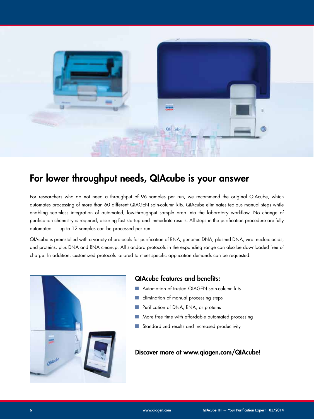

## For lower throughput needs, QIAcube is your answer

For researchers who do not need a throughput of 96 samples per run, we recommend the original QIAcube, which automates processing of more than 60 different QIAGEN spin-column kits. QIAcube eliminates tedious manual steps while enabling seamless integration of automated, low-throughput sample prep into the laboratory workflow. No change of purification chemistry is required, assuring fast startup and immediate results. All steps in the purification procedure are fully automated — up to 12 samples can be processed per run.

QIAcube is preinstalled with a variety of protocols for purification of RNA, genomic DNA, plasmid DNA, viral nucleic acids, and proteins, plus DNA and RNA cleanup. All standard protocols in the expanding range can also be downloaded free of charge. In addition, customized protocols tailored to meet specific application demands can be requested.



#### QIAcube features and benefits:

- Automation of trusted QIAGEN spin-column kits
- Elimination of manual processing steps
- Purification of DNA, RNA, or proteins
- More free time with affordable automated processing
- Standardized results and increased productivity

#### Discover more at www.qiagen.com/QIAcube!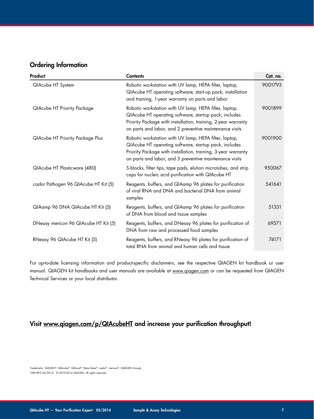#### Ordering Information

| Product                                 | <b>Contents</b>                                                                                                                                                                                                                             | Cat. no. |
|-----------------------------------------|---------------------------------------------------------------------------------------------------------------------------------------------------------------------------------------------------------------------------------------------|----------|
| QIAcube HT System                       | Robotic workstation with UV lamp, HEPA filter, laptop,<br>QIAcube HT operating software, start-up pack, installation<br>and training, 1-year warranty on parts and labor                                                                    | 9001793  |
| QIAcube HT Priority Package             | Robotic workstation with UV lamp, HEPA filter, laptop,<br>QIAcube HT operating software, startup pack; includes<br>Priority Package with installation, training, 2-year warranty<br>on parts and labor, and 2 preventive maintenance visits | 9001899  |
| <b>QIAcube HT Priority Package Plus</b> | Robotic workstation with UV lamp, HEPA filter, laptop,<br>QIAcube HT operating software, startup pack; includes<br>Priority Package with installation, training, 3-year warranty<br>on parts and labor, and 3 preventive maintenance visits | 9001900  |
| QIAcube HT Plasticware (480)            | S-blocks, filter tips, tape pads, elution microtubes, and strip<br>caps for nucleic acid purification with QIAcube HT                                                                                                                       | 950067   |
| cador Pathogen 96 QIAcube HT Kit (5)    | Reagents, buffers, and QIAamp 96 plates for purification<br>of viral RNA and DNA and bacterial DNA from animal<br>samples                                                                                                                   | 541641   |
| QIAamp 96 DNA QIAcube HT Kit (5)        | Reagents, buffers, and QIAamp 96 plates for purification<br>of DNA from blood and tissue samples                                                                                                                                            | 51331    |
| DNeasy mericon 96 QIAcube HT Kit (5)    | Reagents, buffers, and DNeasy 96 plates for purification of<br>DNA from raw and processed food samples                                                                                                                                      | 69571    |
| RNeasy 96 QIAcube HT Kit (5)            | Reagents, buffers, and RNeasy 96 plates for purification of<br>total RNA from animal and human cells and tissue                                                                                                                             | 74171    |

For up-to-date licensing information and product-specific disclaimers, see the respective QIAGEN kit handbook or user manual. QIAGEN kit handbooks and user manuals are available at www.qiagen.com or can be requested from QIAGEN Technical Services or your local distributor.

### Visit www.qiagen.com/p/QIAcubeHT and increase your purification throughput!

Trademarks: QIAGEN®, QIAcube®, QIAxcel®, Rotor-Gene®, *cador*®, *mericon*®, (QIAGEN Group). 1081892 05/2014 © 2010-2014 QIAGEN, all rights reserved.